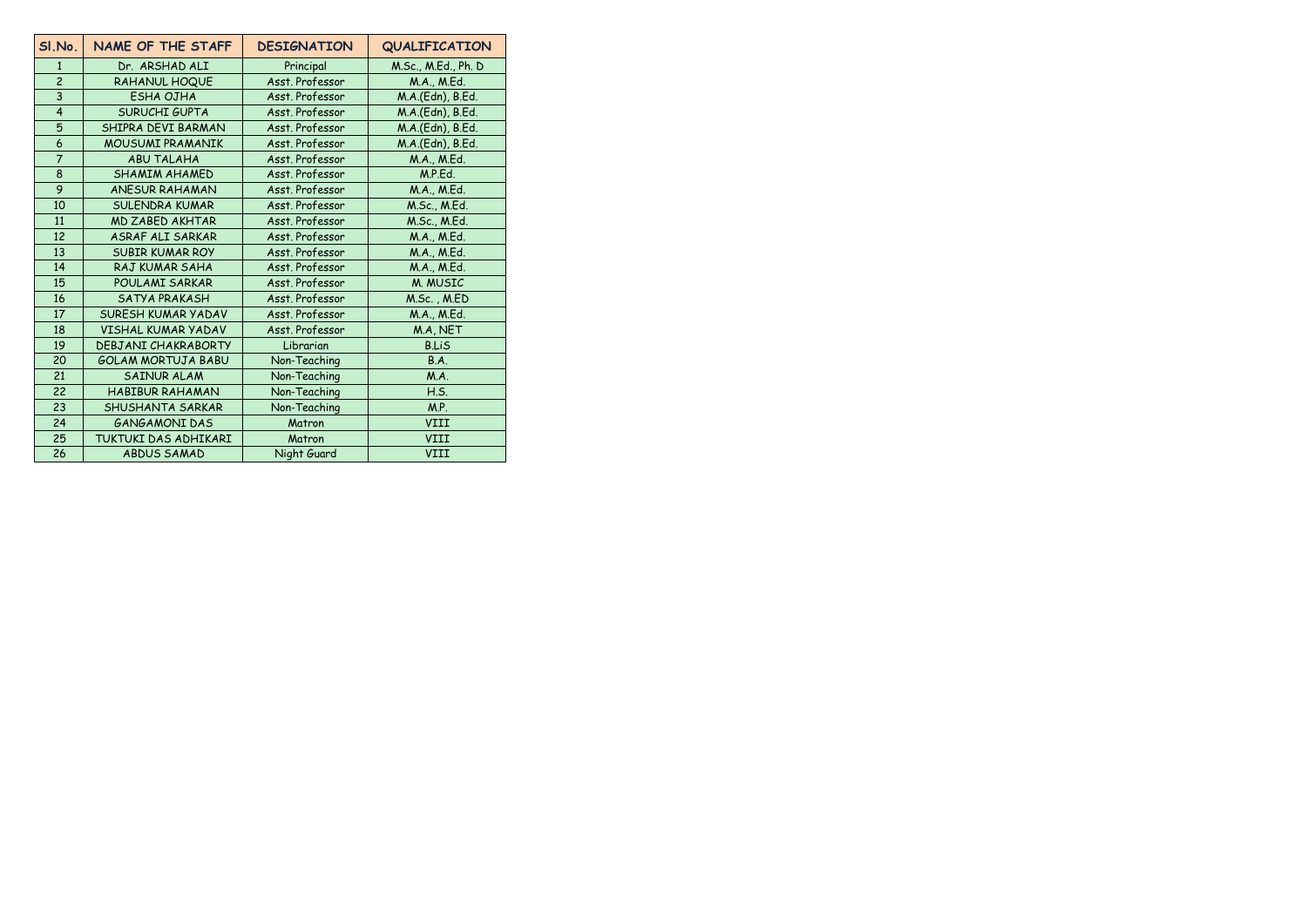| SI.No.         | <b>NAME OF THE STAFF</b>  | <b>DESIGNATION</b> | <b>QUALIFICATION</b> |
|----------------|---------------------------|--------------------|----------------------|
| $\mathbf{1}$   | Dr. ARSHAD ALI            | Principal          | M.Sc., M.Ed., Ph. D  |
| $\overline{c}$ | <b>RAHANUL HOQUE</b>      | Asst. Professor    | M.A., M.Ed.          |
| 3              | <b>ESHA OJHA</b>          | Asst. Professor    | M.A.(Edn), B.Ed.     |
| $\overline{4}$ | <b>SURUCHI GUPTA</b>      | Asst. Professor    | M.A.(Edn), B.Ed.     |
| 5              | SHIPRA DEVI BARMAN        | Asst. Professor    | M.A.(Edn), B.Ed.     |
| 6              | <b>MOUSUMI PRAMANIK</b>   | Asst. Professor    | M.A.(Edn), B.Ed.     |
| $\overline{7}$ | <b>ABU TALAHA</b>         | Asst. Professor    | M.A., M.Ed.          |
| 8              | <b>SHAMIM AHAMED</b>      | Asst. Professor    | M.P.Ed.              |
| 9              | <b>ANESUR RAHAMAN</b>     | Asst. Professor    | M.A., M.Ed.          |
| 10             | <b>SULENDRA KUMAR</b>     | Asst. Professor    | M.Sc., M.Ed.         |
| 11             | <b>MD ZABED AKHTAR</b>    | Asst. Professor    | M.Sc., M.Ed.         |
| 12             | <b>ASRAF ALI SARKAR</b>   | Asst. Professor    | M.A., M.Ed.          |
| 13             | <b>SUBIR KUMAR ROY</b>    | Asst. Professor    | M.A., M.Ed.          |
| 14             | <b>RAJ KUMAR SAHA</b>     | Asst. Professor    | M.A., M.Ed.          |
| 15             | <b>POULAMI SARKAR</b>     | Asst. Professor    | M. MUSIC             |
| 16             | <b>SATYA PRAKASH</b>      | Asst. Professor    | M.Sc., M.ED          |
| 17             | <b>SURESH KUMAR YADAV</b> | Asst. Professor    | M.A., M.Ed.          |
| 18             | <b>VISHAL KUMAR YADAV</b> | Asst. Professor    | M.A, NET             |
| 19             | DEBJANI CHAKRABORTY       | Librarian          | <b>B.LiS</b>         |
| 20             | <b>GOLAM MORTUJA BABU</b> | Non-Teaching       | B.A.                 |
| 21             | <b>SAINUR ALAM</b>        | Non-Teaching       | M.A.                 |
| 22             | <b>HABIBUR RAHAMAN</b>    | Non-Teaching       | H.S.                 |
| 23             | SHUSHANTA SARKAR          | Non-Teaching       | M.P.                 |
| 24             | <b>GANGAMONI DAS</b>      | Matron             | <b>VIII</b>          |
| 25             | TUKTUKI DAS ADHIKARI      | Matron             | VIII                 |
| 26             | <b>ABDUS SAMAD</b>        | Night Guard        | <b>VIII</b>          |